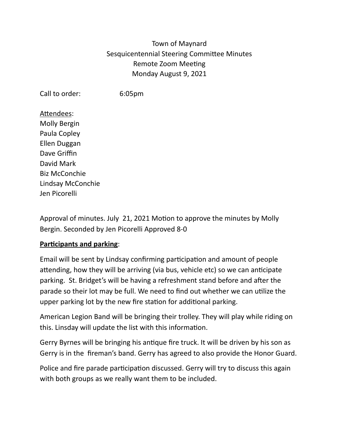# Town of Maynard Sesquicentennial Steering Committee Minutes Remote Zoom Meeting Monday August 9, 2021

Call to order: 6:05pm

Attendees: Molly Bergin Paula Copley Ellen Duggan Dave Griffin David Mark Biz McConchie Lindsay McConchie Jen Picorelli

Approval of minutes. July 21, 2021 Motion to approve the minutes by Molly Bergin. Seconded by Jen Picorelli Approved 8-0

### **Participants and parking**:

Email will be sent by Lindsay confirming participation and amount of people attending, how they will be arriving (via bus, vehicle etc) so we can anticipate parking. St. Bridget's will be having a refreshment stand before and after the parade so their lot may be full. We need to find out whether we can utilize the upper parking lot by the new fire station for additional parking.

American Legion Band will be bringing their trolley. They will play while riding on this. Linsday will update the list with this information.

Gerry Byrnes will be bringing his antique fire truck. It will be driven by his son as Gerry is in the fireman's band. Gerry has agreed to also provide the Honor Guard.

Police and fire parade participation discussed. Gerry will try to discuss this again with both groups as we really want them to be included.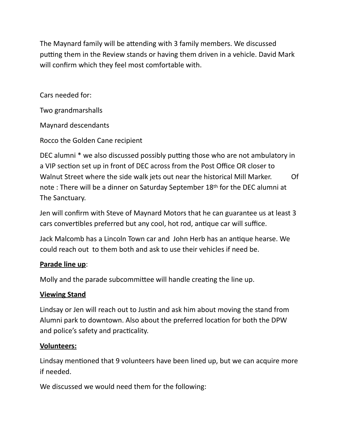The Maynard family will be attending with 3 family members. We discussed putting them in the Review stands or having them driven in a vehicle. David Mark will confirm which they feel most comfortable with.

Cars needed for:

Two grandmarshalls

Maynard descendants

Rocco the Golden Cane recipient

DEC alumni \* we also discussed possibly putting those who are not ambulatory in a VIP section set up in front of DEC across from the Post Office OR closer to Walnut Street where the side walk jets out near the historical Mill Marker. Of note : There will be a dinner on Saturday September 18th for the DEC alumni at The Sanctuary.

Jen will confirm with Steve of Maynard Motors that he can guarantee us at least 3 cars convertibles preferred but any cool, hot rod, antique car will suffice.

Jack Malcomb has a Lincoln Town car and John Herb has an antique hearse. We could reach out to them both and ask to use their vehicles if need be.

### **Parade line up**:

Molly and the parade subcommittee will handle creating the line up.

#### **Viewing Stand**

Lindsay or Jen will reach out to Justin and ask him about moving the stand from Alumni park to downtown. Also about the preferred location for both the DPW and police's safety and practicality.

#### **Volunteers:**

Lindsay mentioned that 9 volunteers have been lined up, but we can acquire more if needed.

We discussed we would need them for the following: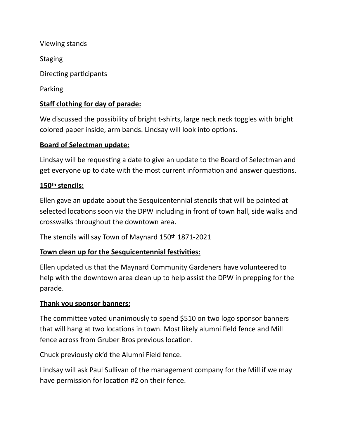Viewing stands **Staging** Directing participants Parking

# **Staff clothing for day of parade:**

We discussed the possibility of bright t-shirts, large neck neck toggles with bright colored paper inside, arm bands. Lindsay will look into options.

#### **Board of Selectman update:**

Lindsay will be requesting a date to give an update to the Board of Selectman and get everyone up to date with the most current information and answer questions.

#### **150th stencils:**

Ellen gave an update about the Sesquicentennial stencils that will be painted at selected locations soon via the DPW including in front of town hall, side walks and crosswalks throughout the downtown area.

The stencils will say Town of Maynard 150th 1871-2021

### **Town clean up for the Sesquicentennial festivities:**

Ellen updated us that the Maynard Community Gardeners have volunteered to help with the downtown area clean up to help assist the DPW in prepping for the parade.

#### **Thank you sponsor banners:**

The committee voted unanimously to spend \$510 on two logo sponsor banners that will hang at two locations in town. Most likely alumni field fence and Mill fence across from Gruber Bros previous location.

Chuck previously ok'd the Alumni Field fence.

Lindsay will ask Paul Sullivan of the management company for the Mill if we may have permission for location #2 on their fence.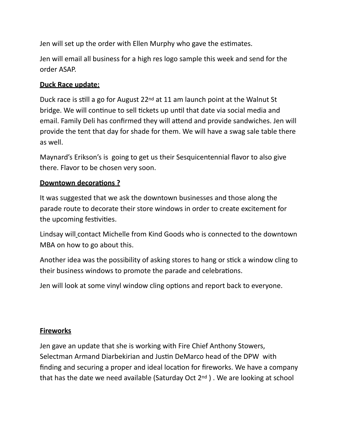Jen will set up the order with Ellen Murphy who gave the estimates.

Jen will email all business for a high res logo sample this week and send for the order ASAP.

# **Duck Race update:**

Duck race is still a go for August 22nd at 11 am launch point at the Walnut St bridge. We will continue to sell tickets up until that date via social media and email. Family Deli has confirmed they will attend and provide sandwiches. Jen will provide the tent that day for shade for them. We will have a swag sale table there as well.

Maynard's Erikson's is going to get us their Sesquicentennial flavor to also give there. Flavor to be chosen very soon.

# **Downtown decorations ?**

It was suggested that we ask the downtown businesses and those along the parade route to decorate their store windows in order to create excitement for the upcoming festivities.

Lindsay will contact Michelle from Kind Goods who is connected to the downtown MBA on how to go about this.

Another idea was the possibility of asking stores to hang or stick a window cling to their business windows to promote the parade and celebrations.

Jen will look at some vinyl window cling options and report back to everyone.

# **Fireworks**

Jen gave an update that she is working with Fire Chief Anthony Stowers, Selectman Armand Diarbekirian and Justin DeMarco head of the DPW with finding and securing a proper and ideal location for fireworks. We have a company that has the date we need available (Saturday Oct 2nd ) . We are looking at school